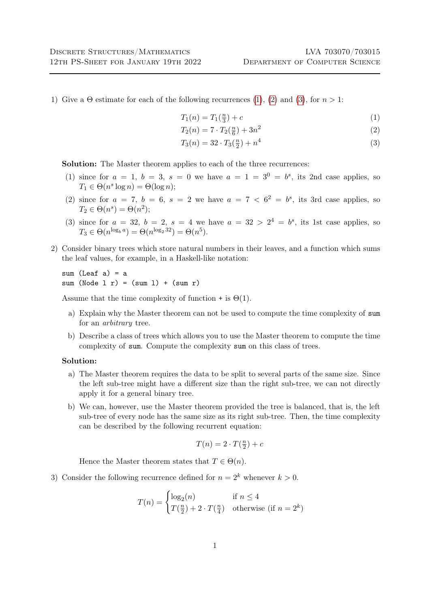1) Give a  $\Theta$  estimate for each of the following recurrences [\(1\)](#page-0-0), [\(2\)](#page-0-1) and [\(3\)](#page-0-2), for  $n > 1$ :

<span id="page-0-0"></span>
$$
T_1(n) = T_1(\frac{n}{3}) + c \tag{1}
$$

<span id="page-0-1"></span>
$$
T_2(n) = 7 \cdot T_2(\frac{n}{6}) + 3n^2 \tag{2}
$$

<span id="page-0-2"></span>
$$
T_3(n) = 32 \cdot T_3(\frac{n}{2}) + n^4 \tag{3}
$$

Solution: The Master theorem applies to each of the three recurrences:

- (1) since for  $a = 1$ ,  $b = 3$ ,  $s = 0$  we have  $a = 1 = 3^0 = b^s$ , its 2nd case applies, so  $T_1 \in \Theta(n^s \log n) = \Theta(\log n);$
- (2) since for  $a = 7$ ,  $b = 6$ ,  $s = 2$  we have  $a = 7 < 6<sup>2</sup> = b<sup>s</sup>$ , its 3rd case applies, so  $T_2 \in \Theta(n^s) = \Theta(n^2);$
- (3) since for  $a = 32$ ,  $b = 2$ ,  $s = 4$  we have  $a = 32 > 2^4 = b^s$ , its 1st case applies, so  $T_3 \in \Theta(n^{\log_b a}) = \Theta(n^{\log_2 32}) = \Theta(n^5).$
- 2) Consider binary trees which store natural numbers in their leaves, and a function which sums the leaf values, for example, in a Haskell-like notation:

sum  $(I.eaf a) = a$ sum (Node  $1 r$ ) = (sum  $1$ ) + (sum  $r$ )

Assume that the time complexity of function + is  $\Theta(1)$ .

- a) Explain why the Master theorem can not be used to compute the time complexity of sum for an arbitrary tree.
- b) Describe a class of trees which allows you to use the Master theorem to compute the time complexity of sum. Compute the complexity sum on this class of trees.

## Solution:

- a) The Master theorem requires the data to be split to several parts of the same size. Since the left sub-tree might have a different size than the right sub-tree, we can not directly apply it for a general binary tree.
- b) We can, however, use the Master theorem provided the tree is balanced, that is, the left sub-tree of every node has the same size as its right sub-tree. Then, the time complexity can be described by the following recurrent equation:

$$
T(n) = 2 \cdot T(\tfrac{n}{2}) + c
$$

Hence the Master theorem states that  $T \in \Theta(n)$ .

3) Consider the following recurrence defined for  $n = 2<sup>k</sup>$  whenever  $k > 0$ .

$$
T(n) = \begin{cases} \log_2(n) & \text{if } n \le 4\\ T(\frac{n}{2}) + 2 \cdot T(\frac{n}{4}) & \text{otherwise (if } n = 2^k) \end{cases}
$$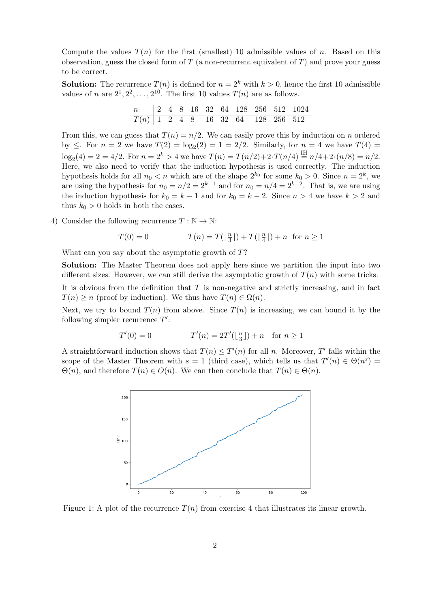Compute the values  $T(n)$  for the first (smallest) 10 admissible values of n. Based on this observation, guess the closed form of  $T$  (a non-recurrent equivalent of  $T$ ) and prove your guess to be correct.

**Solution:** The recurrence  $T(n)$  is defined for  $n = 2<sup>k</sup>$  with  $k > 0$ , hence the first 10 admissible values of *n* are  $2^1, 2^2, \ldots, 2^{10}$ . The first 10 values  $T(n)$  are as follows.

| n   2 4 8 16 32 64 128 256 512 1024 |  |  |  |  |  |
|-------------------------------------|--|--|--|--|--|
| $T(n)$ 1 2 4 8 16 32 64 128 256 512 |  |  |  |  |  |

From this, we can guess that  $T(n) = n/2$ . We can easily prove this by induction on n ordered by  $\leq$ . For  $n = 2$  we have  $T(2) = \log_2(2) = 1 = 2/2$ . Similarly, for  $n = 4$  we have  $T(4) =$  $\log_2(4) = 2 = 4/2$ . For  $n = 2^k > 4$  we have  $T(n) = T(n/2) + 2 \cdot T(n/4) \stackrel{\text{IH}}{=} n/4 + 2 \cdot (n/8) = n/2$ . Here, we also need to verify that the induction hypothesis is used correctly. The induction hypothesis holds for all  $n_0 < n$  which are of the shape  $2^{k_0}$  for some  $k_0 > 0$ . Since  $n = 2^k$ , we are using the hypothesis for  $n_0 = n/2 = 2^{k-1}$  and for  $n_0 = n/4 = 2^{k-2}$ . That is, we are using the induction hypothesis for  $k_0 = k - 1$  and for  $k_0 = k - 2$ . Since  $n > 4$  we have  $k > 2$  and thus  $k_0 > 0$  holds in both the cases.

4) Consider the following recurrence  $T : \mathbb{N} \to \mathbb{N}$ :

$$
T(0) = 0 \qquad T(n) = T(\lfloor \frac{n}{3} \rfloor) + T(\lfloor \frac{n}{4} \rfloor) + n \text{ for } n \ge 1
$$

What can you say about the asymptotic growth of  $T$ ?

Solution: The Master Theorem does not apply here since we partition the input into two different sizes. However, we can still derive the asymptotic growth of  $T(n)$  with some tricks.

It is obvious from the definition that  $T$  is non-negative and strictly increasing, and in fact  $T(n) \geq n$  (proof by induction). We thus have  $T(n) \in \Omega(n)$ .

Next, we try to bound  $T(n)$  from above. Since  $T(n)$  is increasing, we can bound it by the following simpler recurrence  $T'$ :

$$
T'(0) = 0
$$
  $T'(n) = 2T'(\lfloor \frac{n}{3} \rfloor) + n$  for  $n \ge 1$ 

A straightforward induction shows that  $T(n) \leq T'(n)$  for all n. Moreover, T' falls within the scope of the Master Theorem with  $s = 1$  (third case), which tells us that  $T'(n) \in \Theta(n^s) =$  $\Theta(n)$ , and therefore  $T(n) \in O(n)$ . We can then conclude that  $T(n) \in \Theta(n)$ .



Figure 1: A plot of the recurrence  $T(n)$  from exercise 4 that illustrates its linear growth.